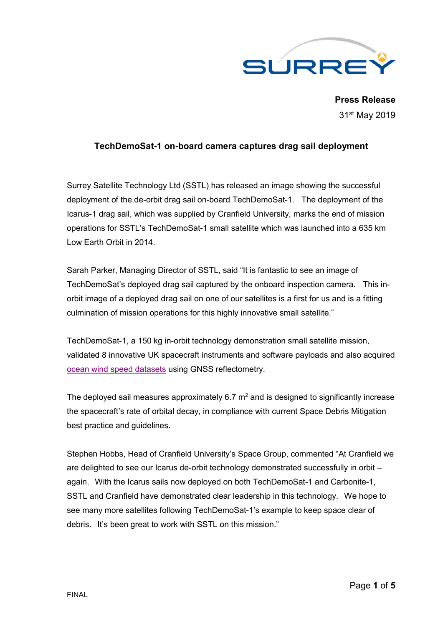

**Press Release** 31st May 2019

## **TechDemoSat-1 on-board camera captures drag sail deployment**

Surrey Satellite Technology Ltd (SSTL) has released an image showing the successful deployment of the de-orbit drag sail on-board TechDemoSat-1. The deployment of the Icarus-1 drag sail, which was supplied by Cranfield University, marks the end of mission operations for SSTL's TechDemoSat-1 small satellite which was launched into a 635 km Low Earth Orbit in 2014.

Sarah Parker, Managing Director of SSTL, said "It is fantastic to see an image of TechDemoSat's deployed drag sail captured by the onboard inspection camera. This inorbit image of a deployed drag sail on one of our satellites is a first for us and is a fitting culmination of mission operations for this highly innovative small satellite."

TechDemoSat-1, a 150 kg in-orbit technology demonstration small satellite mission, validated 8 innovative UK spacecraft instruments and software payloads and also acquired ocean wind speed datasets using GNSS reflectometry.

The deployed sail measures approximately 6.7  $m<sup>2</sup>$  and is designed to significantly increase the spacecraft's rate of orbital decay, in compliance with current Space Debris Mitigation best practice and guidelines.

Stephen Hobbs, Head of Cranfield University's Space Group, commented "At Cranfield we are delighted to see our Icarus de-orbit technology demonstrated successfully in orbit – again. With the Icarus sails now deployed on both TechDemoSat-1 and Carbonite-1, SSTL and Cranfield have demonstrated clear leadership in this technology. We hope to see many more satellites following TechDemoSat-1's example to keep space clear of debris. It's been great to work with SSTL on this mission."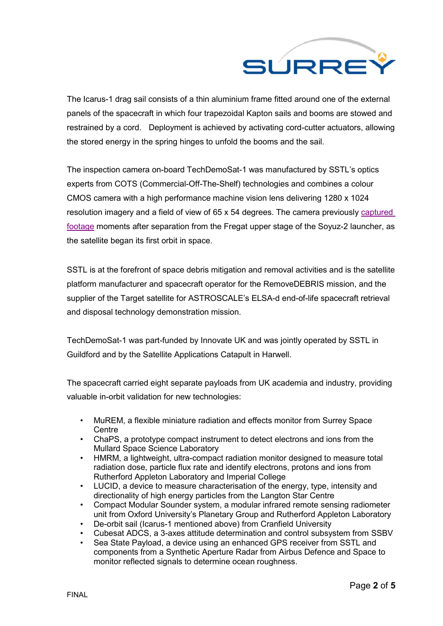

The Icarus-1 drag sail consists of a thin aluminium frame fitted around one of the external panels of the spacecraft in which four trapezoidal Kapton sails and booms are stowed and restrained by a cord. Deployment is achieved by activating cord-cutter actuators, allowing the stored energy in the spring hinges to unfold the booms and the sail.

The inspection camera on-board TechDemoSat-1 was manufactured by SSTL's optics experts from COTS (Commercial-Off-The-Shelf) technologies and combines a colour CMOS camera with a high performance machine vision lens delivering 1280 x 1024 resolution imagery and a field of view of 65 x 54 degrees. The camera previously captured footage moments after separation from the Fregat upper stage of the Soyuz-2 launcher, as the satellite began its first orbit in space.

SSTL is at the forefront of space debris mitigation and removal activities and is the satellite platform manufacturer and spacecraft operator for the RemoveDEBRIS mission, and the supplier of the Target satellite for ASTROSCALE's ELSA-d end-of-life spacecraft retrieval and disposal technology demonstration mission.

TechDemoSat-1 was part-funded by Innovate UK and was jointly operated by SSTL in Guildford and by the Satellite Applications Catapult in Harwell.

The spacecraft carried eight separate payloads from UK academia and industry, providing valuable in-orbit validation for new technologies:

- MuREM, a flexible miniature radiation and effects monitor from Surrey Space **Centre**
- ChaPS, a prototype compact instrument to detect electrons and ions from the Mullard Space Science Laboratory
- HMRM, a lightweight, ultra-compact radiation monitor designed to measure total radiation dose, particle flux rate and identify electrons, protons and ions from Rutherford Appleton Laboratory and Imperial College
- LUCID, a device to measure characterisation of the energy, type, intensity and directionality of high energy particles from the Langton Star Centre
- Compact Modular Sounder system, a modular infrared remote sensing radiometer unit from Oxford University's Planetary Group and Rutherford Appleton Laboratory
- De-orbit sail (Icarus-1 mentioned above) from Cranfield University
- Cubesat ADCS, a 3-axes attitude determination and control subsystem from SSBV
- Sea State Payload, a device using an enhanced GPS receiver from SSTL and components from a Synthetic Aperture Radar from Airbus Defence and Space to monitor reflected signals to determine ocean roughness.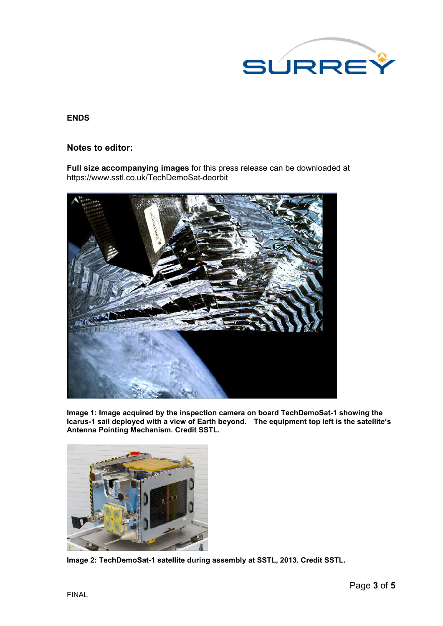

### **ENDS**

### **Notes to editor:**

**Full size accompanying images** for this press release can be downloaded at https://www.sstl.co.uk/TechDemoSat-deorbit



**Image 1: Image acquired by the inspection camera on board TechDemoSat-1 showing the Icarus-1 sail deployed with a view of Earth beyond. The equipment top left is the satellite's Antenna Pointing Mechanism. Credit SSTL.**



**Image 2: TechDemoSat-1 satellite during assembly at SSTL, 2013. Credit SSTL.**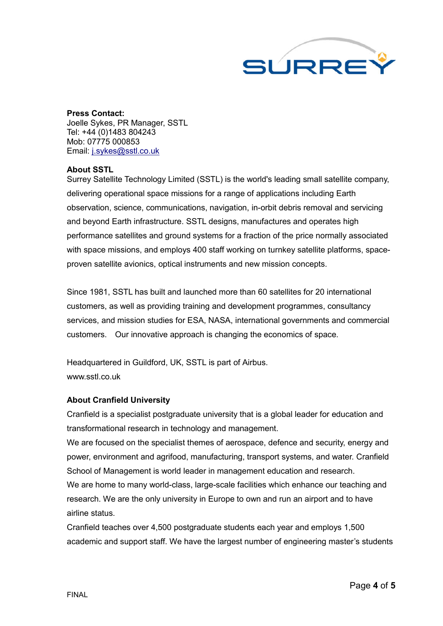

# **Press Contact:**

Joelle Sykes, PR Manager, SSTL Tel: +44 (0)1483 804243 Mob: 07775 000853 Email: j.sykes@sstl.co.uk

### **About SSTL**

Surrey Satellite Technology Limited (SSTL) is the world's leading small satellite company, delivering operational space missions for a range of applications including Earth observation, science, communications, navigation, in-orbit debris removal and servicing and beyond Earth infrastructure. SSTL designs, manufactures and operates high performance satellites and ground systems for a fraction of the price normally associated with space missions, and employs 400 staff working on turnkey satellite platforms, spaceproven satellite avionics, optical instruments and new mission concepts.

Since 1981, SSTL has built and launched more than 60 satellites for 20 international customers, as well as providing training and development programmes, consultancy services, and mission studies for ESA, NASA, international governments and commercial customers. Our innovative approach is changing the economics of space.

Headquartered in Guildford, UK, SSTL is part of Airbus. www.sstl.co.uk

### **About Cranfield University**

Cranfield is a specialist postgraduate university that is a global leader for education and transformational research in technology and management.

We are focused on the specialist themes of aerospace, defence and security, energy and power, environment and agrifood, manufacturing, transport systems, and water. Cranfield School of Management is world leader in management education and research. We are home to many world-class, large-scale facilities which enhance our teaching and research. We are the only university in Europe to own and run an airport and to have airline status.

Cranfield teaches over 4,500 postgraduate students each year and employs 1,500 academic and support staff. We have the largest number of engineering master's students